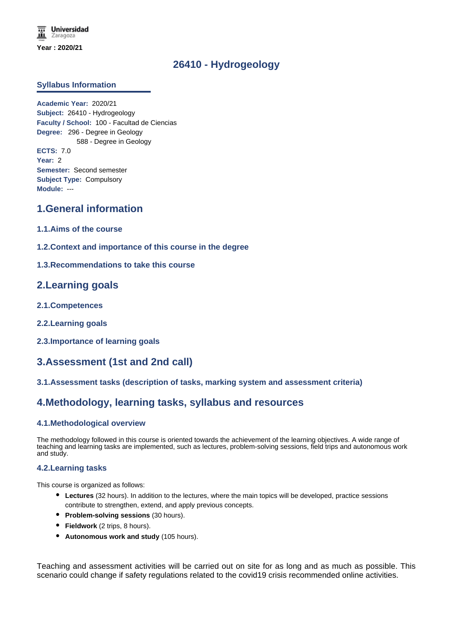# **26410 - Hydrogeology**

## **Syllabus Information**

**Academic Year:** 2020/21 **Subject:** 26410 - Hydrogeology **Faculty / School:** 100 - Facultad de Ciencias **Degree:** 296 - Degree in Geology 588 - Degree in Geology **ECTS:** 7.0 **Year:** 2 **Semester:** Second semester **Subject Type:** Compulsory **Module:** ---

# **1.General information**

- **1.1.Aims of the course**
- **1.2.Context and importance of this course in the degree**
- **1.3.Recommendations to take this course**

# **2.Learning goals**

- **2.1.Competences**
- **2.2.Learning goals**
- **2.3.Importance of learning goals**

# **3.Assessment (1st and 2nd call)**

## **3.1.Assessment tasks (description of tasks, marking system and assessment criteria)**

# **4.Methodology, learning tasks, syllabus and resources**

### **4.1.Methodological overview**

The methodology followed in this course is oriented towards the achievement of the learning objectives. A wide range of teaching and learning tasks are implemented, such as lectures, problem-solving sessions, field trips and autonomous work and study.

### **4.2.Learning tasks**

This course is organized as follows:

- **Lectures** (32 hours). In addition to the lectures, where the main topics will be developed, practice sessions contribute to strengthen, extend, and apply previous concepts.
- **Problem-solving sessions** (30 hours).
- **Fieldwork** (2 trips, 8 hours).
- **Autonomous work and study** (105 hours).

Teaching and assessment activities will be carried out on site for as long and as much as possible. This scenario could change if safety regulations related to the covid19 crisis recommended online activities.